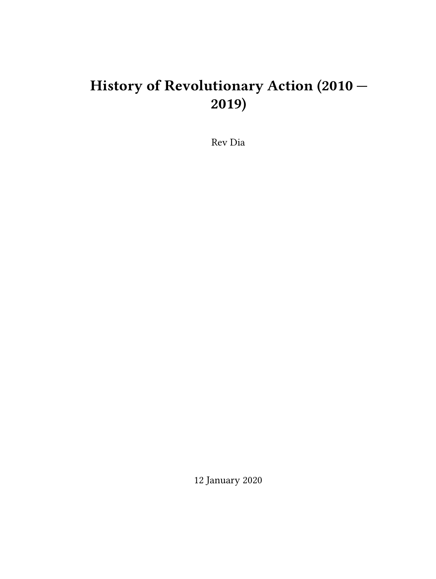# **History of Revolutionary Action (2010 — 2019)**

Rev Dia

12 January 2020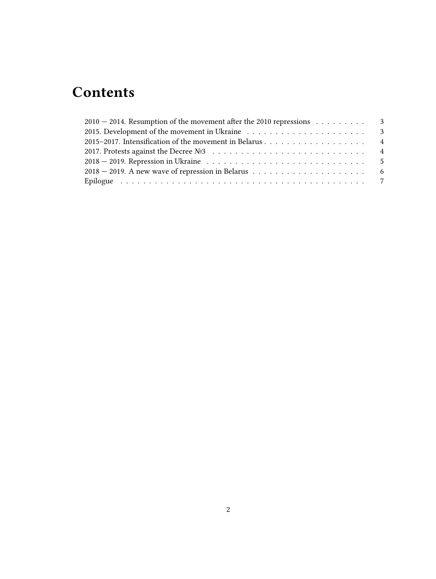## **Contents**

| $2010 - 2014$ . Resumption of the movement after the 2010 repressions 3                                       |  |
|---------------------------------------------------------------------------------------------------------------|--|
|                                                                                                               |  |
|                                                                                                               |  |
|                                                                                                               |  |
| $2018 - 2019$ . Repression in Ukraine $\ldots \ldots \ldots \ldots \ldots \ldots \ldots \ldots \ldots \ldots$ |  |
|                                                                                                               |  |
|                                                                                                               |  |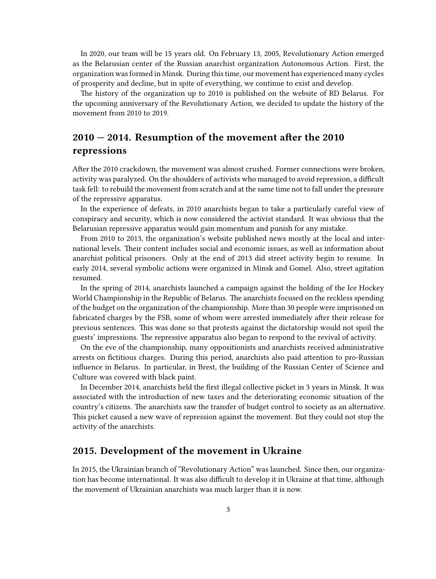In 2020, our team will be 15 years old. On February 13, 2005, Revolutionary Action emerged as the Belarusian center of the Russian anarchist organization Autonomous Action. First, the organization was formed in Minsk. During this time, our movement has experienced many cycles of prosperity and decline, but in spite of everything, we continue to exist and develop.

The history of the organization up to 2010 is published on the website of RD Belarus. For the upcoming anniversary of the Revolutionary Action, we decided to update the history of the movement from 2010 to 2019.

### <span id="page-2-0"></span>**2010 — 2014. Resumption of the movement after the 2010 repressions**

After the 2010 crackdown, the movement was almost crushed. Former connections were broken, activity was paralyzed. On the shoulders of activists who managed to avoid repression, a difficult task fell: to rebuild the movement from scratch and at the same time not to fall under the pressure of the repressive apparatus.

In the experience of defeats, in 2010 anarchists began to take a particularly careful view of conspiracy and security, which is now considered the activist standard. It was obvious that the Belarusian repressive apparatus would gain momentum and punish for any mistake.

From 2010 to 2013, the organization's website published news mostly at the local and international levels. Their content includes social and economic issues, as well as information about anarchist political prisoners. Only at the end of 2013 did street activity begin to resume. In early 2014, several symbolic actions were organized in Minsk and Gomel. Also, street agitation resumed.

In the spring of 2014, anarchists launched a campaign against the holding of the Ice Hockey World Championship in the Republic of Belarus. The anarchists focused on the reckless spending of the budget on the organization of the championship. More than 30 people were imprisoned on fabricated charges by the FSB, some of whom were arrested immediately after their release for previous sentences. This was done so that protests against the dictatorship would not spoil the guests' impressions. The repressive apparatus also began to respond to the revival of activity.

On the eve of the championship, many oppositionists and anarchists received administrative arrests on fictitious charges. During this period, anarchists also paid attention to pro-Russian influence in Belarus. In particular, in Brest, the building of the Russian Center of Science and Culture was covered with black paint.

In December 2014, anarchists held the first illegal collective picket in 3 years in Minsk. It was associated with the introduction of new taxes and the deteriorating economic situation of the country's citizens. The anarchists saw the transfer of budget control to society as an alternative. This picket caused a new wave of repression against the movement. But they could not stop the activity of the anarchists.

#### <span id="page-2-1"></span>**2015. Development of the movement in Ukraine**

In 2015, the Ukrainian branch of "Revolutionary Action" was launched. Since then, our organization has become international. It was also difficult to develop it in Ukraine at that time, although the movement of Ukrainian anarchists was much larger than it is now.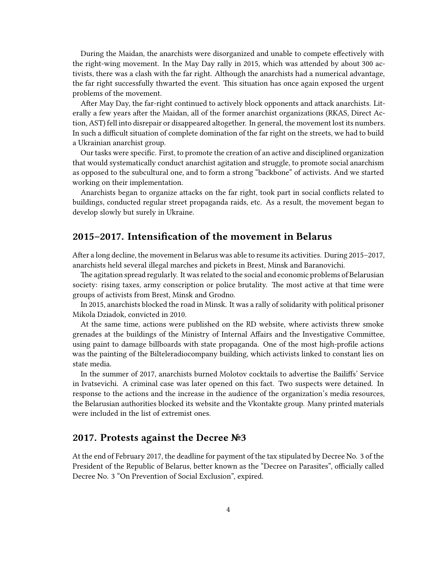During the Maidan, the anarchists were disorganized and unable to compete effectively with the right-wing movement. In the May Day rally in 2015, which was attended by about 300 activists, there was a clash with the far right. Although the anarchists had a numerical advantage, the far right successfully thwarted the event. This situation has once again exposed the urgent problems of the movement.

After May Day, the far-right continued to actively block opponents and attack anarchists. Literally a few years after the Maidan, all of the former anarchist organizations (RKAS, Direct Action, AST) fell into disrepair or disappeared altogether. In general, the movement lost its numbers. In such a difficult situation of complete domination of the far right on the streets, we had to build a Ukrainian anarchist group.

Our tasks were specific. First, to promote the creation of an active and disciplined organization that would systematically conduct anarchist agitation and struggle, to promote social anarchism as opposed to the subcultural one, and to form a strong "backbone" of activists. And we started working on their implementation.

Anarchists began to organize attacks on the far right, took part in social conflicts related to buildings, conducted regular street propaganda raids, etc. As a result, the movement began to develop slowly but surely in Ukraine.

### <span id="page-3-0"></span>**2015–2017. Intensification of the movement in Belarus**

After a long decline, the movement in Belarus was able to resume its activities. During 2015–2017, anarchists held several illegal marches and pickets in Brest, Minsk and Baranovichi.

The agitation spread regularly. It was related to the social and economic problems of Belarusian society: rising taxes, army conscription or police brutality. The most active at that time were groups of activists from Brest, Minsk and Grodno.

In 2015, anarchists blocked the road in Minsk. It was a rally of solidarity with political prisoner Mikola Dziadok, convicted in 2010.

At the same time, actions were published on the RD website, where activists threw smoke grenades at the buildings of the Ministry of Internal Affairs and the Investigative Committee, using paint to damage billboards with state propaganda. One of the most high-profile actions was the painting of the Bilteleradiocompany building, which activists linked to constant lies on state media.

In the summer of 2017, anarchists burned Molotov cocktails to advertise the Bailiffs' Service in Ivatsevichi. A criminal case was later opened on this fact. Two suspects were detained. In response to the actions and the increase in the audience of the organization's media resources, the Belarusian authorities blocked its website and the Vkontakte group. Many printed materials were included in the list of extremist ones.

#### <span id="page-3-1"></span>**2017. Protests against the Decree №3**

At the end of February 2017, the deadline for payment of the tax stipulated by Decree No. 3 of the President of the Republic of Belarus, better known as the "Decree on Parasites", officially called Decree No. 3 "On Prevention of Social Exclusion", expired.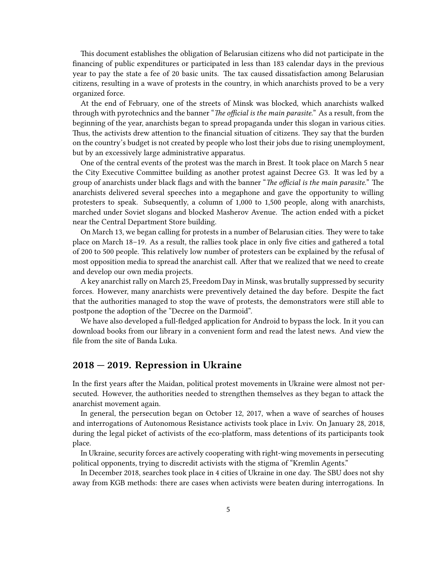This document establishes the obligation of Belarusian citizens who did not participate in the financing of public expenditures or participated in less than 183 calendar days in the previous year to pay the state a fee of 20 basic units. The tax caused dissatisfaction among Belarusian citizens, resulting in a wave of protests in the country, in which anarchists proved to be a very organized force.

At the end of February, one of the streets of Minsk was blocked, which anarchists walked through with pyrotechnics and the banner "*The official is the main parasite.*" As a result, from the beginning of the year, anarchists began to spread propaganda under this slogan in various cities. Thus, the activists drew attention to the financial situation of citizens. They say that the burden on the country's budget is not created by people who lost their jobs due to rising unemployment, but by an excessively large administrative apparatus.

One of the central events of the protest was the march in Brest. It took place on March 5 near the City Executive Committee building as another protest against Decree G3. It was led by a group of anarchists under black flags and with the banner "*The official is the main parasite.*" The anarchists delivered several speeches into a megaphone and gave the opportunity to willing protesters to speak. Subsequently, a column of 1,000 to 1,500 people, along with anarchists, marched under Soviet slogans and blocked Masherov Avenue. The action ended with a picket near the Central Department Store building.

On March 13, we began calling for protests in a number of Belarusian cities. They were to take place on March 18–19. As a result, the rallies took place in only five cities and gathered a total of 200 to 500 people. This relatively low number of protesters can be explained by the refusal of most opposition media to spread the anarchist call. After that we realized that we need to create and develop our own media projects.

A key anarchist rally on March 25, Freedom Day in Minsk, was brutally suppressed by security forces. However, many anarchists were preventively detained the day before. Despite the fact that the authorities managed to stop the wave of protests, the demonstrators were still able to postpone the adoption of the "Decree on the Darmoid".

We have also developed a full-fledged application for Android to bypass the lock. In it you can download books from our library in a convenient form and read the latest news. And view the file from the site of Banda Luka.

#### <span id="page-4-0"></span>**2018 — 2019. Repression in Ukraine**

In the first years after the Maidan, political protest movements in Ukraine were almost not persecuted. However, the authorities needed to strengthen themselves as they began to attack the anarchist movement again.

In general, the persecution began on October 12, 2017, when a wave of searches of houses and interrogations of Autonomous Resistance activists took place in Lviv. On January 28, 2018, during the legal picket of activists of the eco-platform, mass detentions of its participants took place.

In Ukraine, security forces are actively cooperating with right-wing movements in persecuting political opponents, trying to discredit activists with the stigma of "Kremlin Agents."

In December 2018, searches took place in 4 cities of Ukraine in one day. The SBU does not shy away from KGB methods: there are cases when activists were beaten during interrogations. In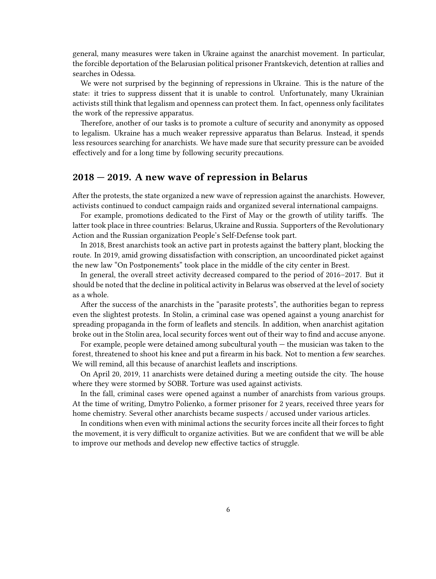general, many measures were taken in Ukraine against the anarchist movement. In particular, the forcible deportation of the Belarusian political prisoner Frantskevich, detention at rallies and searches in Odessa.

We were not surprised by the beginning of repressions in Ukraine. This is the nature of the state: it tries to suppress dissent that it is unable to control. Unfortunately, many Ukrainian activists still think that legalism and openness can protect them. In fact, openness only facilitates the work of the repressive apparatus.

Therefore, another of our tasks is to promote a culture of security and anonymity as opposed to legalism. Ukraine has a much weaker repressive apparatus than Belarus. Instead, it spends less resources searching for anarchists. We have made sure that security pressure can be avoided effectively and for a long time by following security precautions.

#### <span id="page-5-0"></span>**2018 — 2019. A new wave of repression in Belarus**

After the protests, the state organized a new wave of repression against the anarchists. However, activists continued to conduct campaign raids and organized several international campaigns.

For example, promotions dedicated to the First of May or the growth of utility tariffs. The latter took place in three countries: Belarus, Ukraine and Russia. Supporters of the Revolutionary Action and the Russian organization People's Self-Defense took part.

In 2018, Brest anarchists took an active part in protests against the battery plant, blocking the route. In 2019, amid growing dissatisfaction with conscription, an uncoordinated picket against the new law "On Postponements" took place in the middle of the city center in Brest.

In general, the overall street activity decreased compared to the period of 2016–2017. But it should be noted that the decline in political activity in Belarus was observed at the level of society as a whole.

After the success of the anarchists in the "parasite protests", the authorities began to repress even the slightest protests. In Stolin, a criminal case was opened against a young anarchist for spreading propaganda in the form of leaflets and stencils. In addition, when anarchist agitation broke out in the Stolin area, local security forces went out of their way to find and accuse anyone.

For example, people were detained among subcultural youth  $-$  the musician was taken to the forest, threatened to shoot his knee and put a firearm in his back. Not to mention a few searches. We will remind, all this because of anarchist leaflets and inscriptions.

On April 20, 2019, 11 anarchists were detained during a meeting outside the city. The house where they were stormed by SOBR. Torture was used against activists.

In the fall, criminal cases were opened against a number of anarchists from various groups. At the time of writing, Dmytro Polienko, a former prisoner for 2 years, received three years for home chemistry. Several other anarchists became suspects / accused under various articles.

In conditions when even with minimal actions the security forces incite all their forces to fight the movement, it is very difficult to organize activities. But we are confident that we will be able to improve our methods and develop new effective tactics of struggle.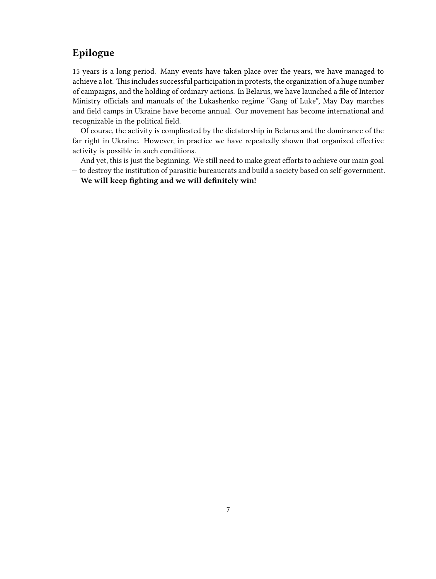## <span id="page-6-0"></span>**Epilogue**

15 years is a long period. Many events have taken place over the years, we have managed to achieve a lot. This includes successful participation in protests, the organization of a huge number of campaigns, and the holding of ordinary actions. In Belarus, we have launched a file of Interior Ministry officials and manuals of the Lukashenko regime "Gang of Luke", May Day marches and field camps in Ukraine have become annual. Our movement has become international and recognizable in the political field.

Of course, the activity is complicated by the dictatorship in Belarus and the dominance of the far right in Ukraine. However, in practice we have repeatedly shown that organized effective activity is possible in such conditions.

And yet, this is just the beginning. We still need to make great efforts to achieve our main goal — to destroy the institution of parasitic bureaucrats and build a society based on self-government.

**We will keep fighting and we will definitely win!**